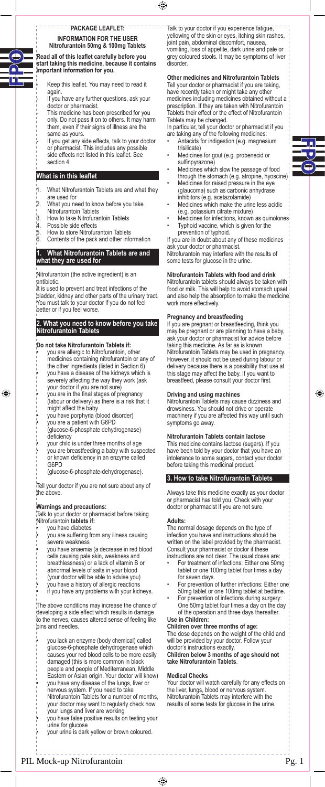disorder.

### <sup>-</sup> PACKAGE LEAFLET:  $-$ **INFORMATION FOR THE USER Nitrofurantoin 50mg & 100mg Tablets**

**Read all of this leaflet carefully before you start taking this medicine, because it contains important information for you.** 

- Keep this leaflet. You may need to read it again.
- If you have any further questions, ask your doctor or pharmacist.
- This medicine has been prescribed for you only. Do not pass it on to others. It may harm them, even if their signs of illness are the same as yours.
- If you get any side effects, talk to your doctor or pharmacist. This includes any possible side effects not listed in this leaflet. See section 4.

# **What is in this leaflet**

- 1. What Nitrofurantoin Tablets are and what they are used for
- 2. What you need to know before you take
- Nitrofurantoin Tablets
- $\frac{1}{4}$ . How to take Nitrofurantoin Tablets<br> $\frac{1}{4}$  Possible side effects
- Possible side effects
- 5. How to store Nitrofurantoin Tablets Contents of the pack and other information
- 

#### **1. What Nitrofurantoin Tablets are and what they are used for**

Nitrofurantoin (the active ingredient) is an antibiotic.

It is used to prevent and treat infections of the bladder, kidney and other parts of the urinary tract. You must talk to your doctor if you do not feel better or if you feel worse.

### **2. What you need to know before you take Nitrofurantoin Tablets**

### **Do not take Nitrofurantoin Tablets if:**

- you are allergic to Nitrofurantoin, other medicines containing nitrofurantoin or any of the other ingredients (listed in Section 6) • you have a disease of the kidneys which is severely affecting the way they work (ask
- your doctor if you are not sure) • you are in the final stages of pregnancy
- (labour or delivery) as there is a risk that it might affect the baby
- you have porphyria (blood disorder)

 $\bigcirc$ 

- you are a patient with G6PD (glucose-6-phosphate dehydrogenase) deficiency
- your child is under three months of age
- you are breastfeeding a baby with suspected or known deficiency in an enzyme called G6PD
- (glucose-6-phosphate-dehydrogenase).

Tell your doctor if you are not sure about any of the above.

#### **Warnings and precautions:**

Talk to your doctor or pharmacist before taking Nitrofurantoin **tablets if:**

- you have diabetes
- you are suffering from any illness causing
- severe weakness • you have anaemia (a decrease in red blood cells causing pale skin, weakness and
- breathlessness) or a lack of vitamin B or abnormal levels of salts in your blood
- (your doctor will be able to advise you)
- you have a history of allergic reactions
- if you have any problems with your kidneys.

The above conditions may increase the chance of developing a side effect which results in damage to the nerves, causes altered sense of feeling like pins and needles.

- you lack an enzyme (body chemical) called glucose-6-phosphate dehydrogenase which causes your red blood cells to be more easily
- damaged (this is more common in black people and people of Mediterranean, Middle
- Eastern or Asian origin. Your doctor will know) • you have any disease of the lungs, liver or
- nervous system. If you need to take
- Nitrofurantoin Tablets for a number of months, your doctor may want to regularly check how your lungs and liver are working
- you have false positive results on testing your urine for glucose
- your urine is dark yellow or brown coloured.

. 22222.

Talk to your doctor if you experience fatigue, yellowing of the skin or eyes, itching skin rashes, joint pain, abdominal discomfort, nausea, vomiting, loss of appetite, dark urine and pale or grey coloured stools. It may be symptoms of liver

### **Other medicines and Nitrofurantoin Tablets**

Tell your doctor or pharmacist if you are taking, have recently taken or might take any other medicines including medicines obtained without a prescription. If they are taken with Nitrofurantoin Tablets their effect or the effect of Nitrofurantoin Tablets may be changed.

In particular, tell your doctor or pharmacist if you are taking any of the following medicines:

- Antacids for indigestion (e.g. magnesium trisilicate)
- Medicines for gout (e.g. probenecid or sulfinpyrazone)
- Medicines which slow the passage of food through the stomach (e.g. atropine, hyoscine) • Medicines for raised pressure in the eye
- (glaucoma) such as carbonic anhydrase inhibitors (e.g. acetazolamide)
- Medicines which make the urine less acidic (e.g. potassium citrate mixture)
- Medicines for infections, known as quinolones • Typhoid vaccine, which is given for the prevention of typhoid.
- If you are in doubt about any of these medicines ask your doctor or pharmacist.

Nitrofurantoin may interfere with the results of some tests for glucose in the urine.

# **Nitrofurantoin Tablets with food and drink**

Nitrofurantoin tablets should always be taken with food or milk. This will help to avoid stomach upset and also help the absorption to make the medicine work more effectively.

### **Pregnancy and breastfeeding**

If you are pregnant or breastfeeding, think you may be pregnant or are planning to have a baby, ask your doctor or pharmacist for advice before taking this medicine. As far as is known Nitrofurantoin Tablets may be used in pregnancy. However, it should not be used during labour or delivery because there is a possibility that use at this stage may affect the baby. If you want to breastfeed, please consult your doctor first.

### **Driving and using machines**

Nitrofurantoin Tablets may cause dizziness and drowsiness. You should not drive or operate machinery if you are affected this way until such symptoms go away.

⊕

### **Nitrofurantoin Tablets contain lactose**

This medicine contains lactose (sugars). If you have been told by your doctor that you have an intolerance to some sugars, contact your doctor before taking this medicinal product.

### **3. How to take Nitrofurantoin Tablets**

Always take this medicine exactly as your doctor or pharmacist has told you. Check with your doctor or pharmacist if you are not sure.

#### **Adults:**

The normal dosage depends on the type of infection you have and instructions should be written on the label provided by the pharmacist. Consult your pharmacist or doctor if these instructions are not clear. The usual doses are:

- For treatment of infections: Either one 50mg tablet or one 100mg tablet four times a day for seven days.
- For prevention of further infections: Either one 50mg tablet or one 100mg tablet at bedtime.
- For prevention of infections during surgery One 50mg tablet four times a day on the day of the operation and three days thereafter.

#### **Use in Children: Children over three months of age:**

The dose depends on the weight of the child and will be provided by your doctor. Follow your doctor's instructions exactly.

# **Children below 3 months of age should not take Nitrofurantoin Tablets**.

#### **Medical Checks**

Your doctor will watch carefully for any effects on the liver, lungs, blood or nervous system. Nitrofurantoin Tablets may interfere with the results of some tests for glucose in the urine.